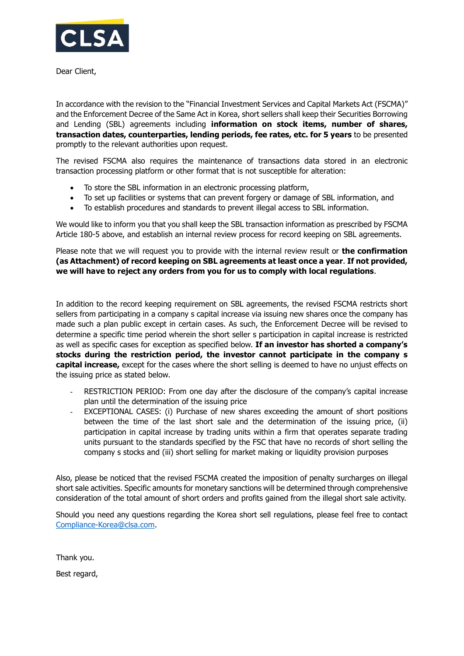

Dear Client,

In accordance with the revision to the "Financial Investment Services and Capital Markets Act (FSCMA)" and the Enforcement Decree of the Same Act in Korea, short sellers shall keep their Securities Borrowing and Lending (SBL) agreements including **information on stock items, number of shares, transaction dates, counterparties, lending periods, fee rates, etc. for 5 years** to be presented promptly to the relevant authorities upon request.

The revised FSCMA also requires the maintenance of transactions data stored in an electronic transaction processing platform or other format that is not susceptible for alteration:

- To store the SBL information in an electronic processing platform,
- To set up facilities or systems that can prevent forgery or damage of SBL information, and
- To establish procedures and standards to prevent illegal access to SBL information.

We would like to inform you that you shall keep the SBL transaction information as prescribed by FSCMA Article 180-5 above, and establish an internal review process for record keeping on SBL agreements.

Please note that we will request you to provide with the internal review result or **the confirmation (as Attachment) of record keeping on SBL agreements at least once a year**. **If not provided, we will have to reject any orders from you for us to comply with local regulations**.

In addition to the record keeping requirement on SBL agreements, the revised FSCMA restricts short sellers from participating in a company s capital increase via issuing new shares once the company has made such a plan public except in certain cases. As such, the Enforcement Decree will be revised to determine a specific time period wherein the short seller s participation in capital increase is restricted as well as specific cases for exception as specified below. **If an investor has shorted a company's stocks during the restriction period, the investor cannot participate in the company s capital increase,** except for the cases where the short selling is deemed to have no unjust effects on the issuing price as stated below.

- RESTRICTION PERIOD: From one day after the disclosure of the company's capital increase plan until the determination of the issuing price
- EXCEPTIONAL CASES: (i) Purchase of new shares exceeding the amount of short positions between the time of the last short sale and the determination of the issuing price, (ii) participation in capital increase by trading units within a firm that operates separate trading units pursuant to the standards specified by the FSC that have no records of short selling the company s stocks and (iii) short selling for market making or liquidity provision purposes

Also, please be noticed that the revised FSCMA created the imposition of penalty surcharges on illegal short sale activities. Specific amounts for monetary sanctions will be determined through comprehensive consideration of the total amount of short orders and profits gained from the illegal short sale activity.

Should you need any questions regarding the Korea short sell regulations, please feel free to contact [Compliance-Korea@clsa.com.](mailto:Compliance-Korea@clsa.com)

Thank you.

Best regard,